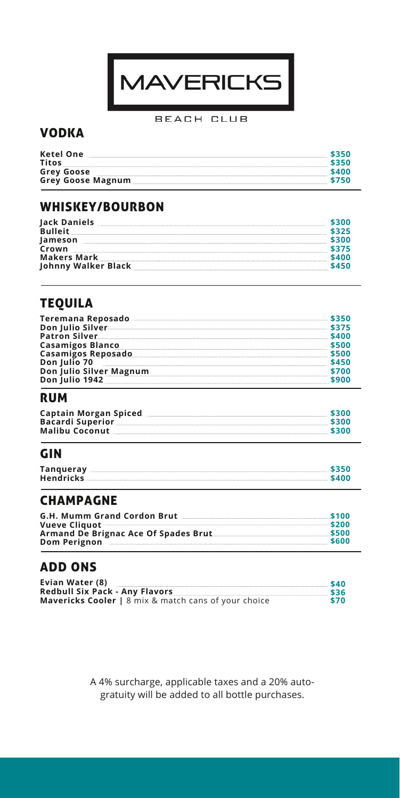

#### BEACH CLUB

#### VODKA

| Ketel One<br><b>Titos</b> | 5350<br>5350 |
|---------------------------|--------------|
| <b>Grey Goose</b>         | \$400        |
| <b>Grey Goose Magnum</b>  | \$750        |

## WHISKEY/BOURBON

| Jack Daniels<br><b>Bulleit</b>     |       |
|------------------------------------|-------|
| Jameson<br>Crown                   |       |
| Makers Mark<br>Johnny Walker Black | \$450 |

## TEQUILA

| Teremana Reposado       |  |
|-------------------------|--|
| Don Julio Silver        |  |
| <b>Patron Silver</b>    |  |
| <b>Casamigos Blanco</b> |  |
| Casamigos Reposado      |  |
| Don Julio 70            |  |
| Don Julio Silver Magnum |  |
| Don Julio 1942          |  |

#### RUM

| Captain Morgan Spiced   | \$300 |
|-------------------------|-------|
| <b>Bacardi Superior</b> | \$300 |
| <b>Malibu Coconut</b>   | \$300 |

## GIN

| Tangueray        | \$350 |
|------------------|-------|
| <b>Hendricks</b> | \$400 |

#### CHAMPAGNE

| <b>G.H. Mumm Grand Cordon Brut</b>               | \$100 |
|--------------------------------------------------|-------|
| Vueve Cliquot <b>Constitution of the Cliquot</b> | \$200 |
| Armand De Brignac Ace Of Spades Brut             | \$500 |
| Dom Perignon                                     | \$600 |
|                                                  |       |

## ADD ONS

| Evian Water (8)                                             | \$40 |
|-------------------------------------------------------------|------|
| <b>Redbull Six Pack - Any Flavors</b>                       | \$36 |
| <b>Mavericks Cooler</b>   8 mix & match cans of your choice | \$70 |

A 4% surcharge, applicable taxes and a 20% autogratuity will be added to all bottle purchases.